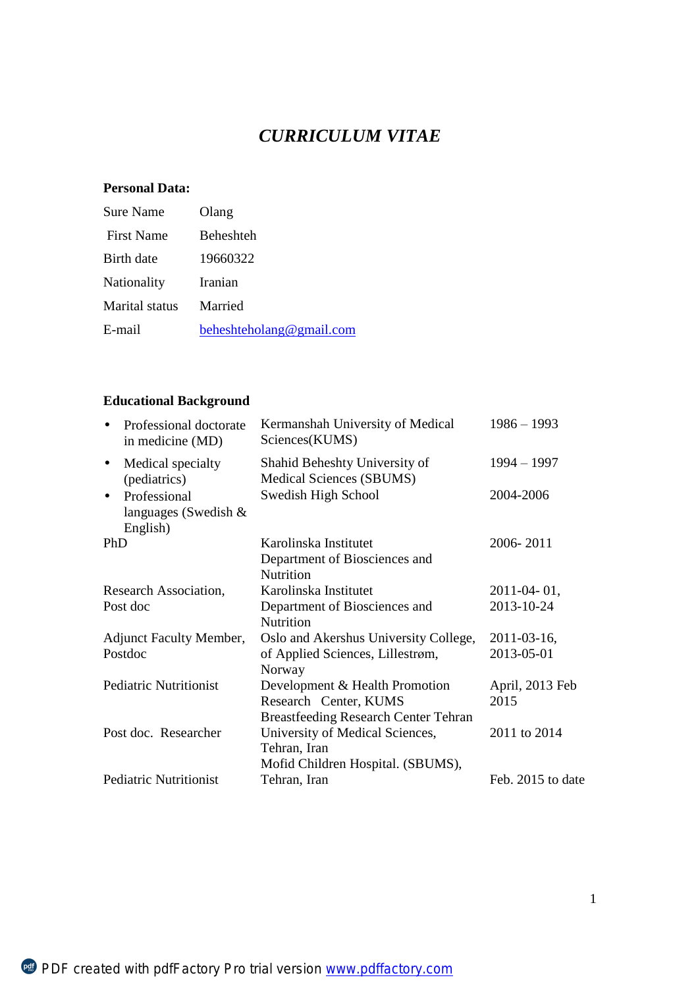# *CURRICULUM VITAE*

### **Personal Data:**

| <b>Sure Name</b>  | Olang                    |
|-------------------|--------------------------|
| <b>First Name</b> | <b>Beheshteh</b>         |
| Birth date        | 19660322                 |
| Nationality       | Iranian                  |
| Marital status    | Married                  |
| E-mail            | beheshteholang@gmail.com |

# **Educational Background**

| Professional doctorate<br>in medicine (MD)                           | Kermanshah University of Medical<br>Sciences(KUMS)                                                     | $1986 - 1993$           |
|----------------------------------------------------------------------|--------------------------------------------------------------------------------------------------------|-------------------------|
| Medical specialty<br>$\blacksquare$<br>(pediatrics)                  | Shahid Beheshty University of<br>Medical Sciences (SBUMS)                                              | $1994 - 1997$           |
| Professional<br>$\blacksquare$<br>languages (Swedish $&$<br>English) | Swedish High School                                                                                    | 2004-2006               |
| PhD                                                                  | Karolinska Institutet<br>Department of Biosciences and<br>Nutrition                                    | 2006-2011               |
| Research Association,                                                | Karolinska Institutet                                                                                  | $2011 - 04 - 01$ ,      |
| Post doc                                                             | Department of Biosciences and<br>Nutrition                                                             | 2013-10-24              |
| <b>Adjunct Faculty Member,</b>                                       | Oslo and Akershus University College,                                                                  | $2011 - 03 - 16$ ,      |
| Postdoc                                                              | of Applied Sciences, Lillestrøm,<br>Norway                                                             | 2013-05-01              |
| <b>Pediatric Nutritionist</b>                                        | Development & Health Promotion<br>Research Center, KUMS<br><b>Breastfeeding Research Center Tehran</b> | April, 2013 Feb<br>2015 |
| Post doc. Researcher                                                 | University of Medical Sciences,<br>Tehran, Iran<br>Mofid Children Hospital. (SBUMS),                   | 2011 to 2014            |
| <b>Pediatric Nutritionist</b>                                        | Tehran, Iran                                                                                           | Feb. 2015 to date       |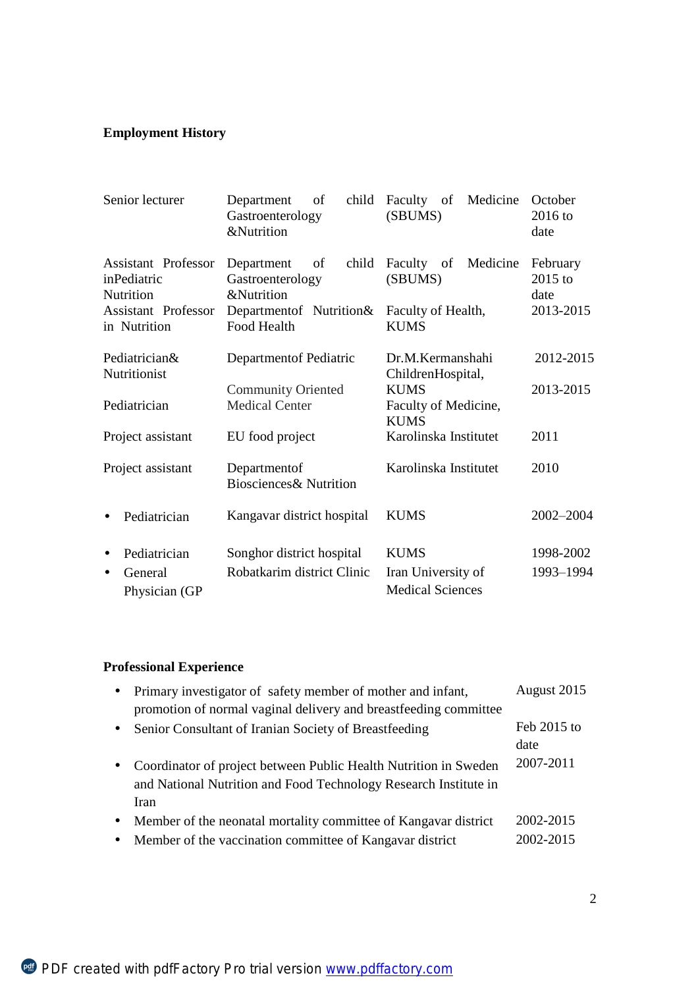# **Employment History**

| Senior lecturer                                 | child<br>of<br>Department<br>Gastroenterology<br><b>&amp;Nutrition</b> | Faculty of Medicine<br>(SBUMS)                     | October<br>$2016$ to<br>date  |
|-------------------------------------------------|------------------------------------------------------------------------|----------------------------------------------------|-------------------------------|
| Assistant Professor<br>inPediatric<br>Nutrition | child<br>Department<br>of<br>Gastroenterology<br><b>&amp;Nutrition</b> | Faculty of<br>Medicine<br>(SBUMS)                  | February<br>$2015$ to<br>date |
| <b>Assistant Professor</b><br>in Nutrition      | Department of Nutrition &<br><b>Food Health</b>                        | Faculty of Health,<br><b>KUMS</b>                  | 2013-2015                     |
| Pediatrician&<br>Nutritionist                   | Department of Pediatric                                                | Dr.M.Kermanshahi<br>ChildrenHospital,              | 2012-2015                     |
| Pediatrician                                    | <b>Community Oriented</b><br><b>Medical Center</b>                     | <b>KUMS</b><br>Faculty of Medicine,<br><b>KUMS</b> | 2013-2015                     |
| Project assistant                               | EU food project                                                        | Karolinska Institutet                              | 2011                          |
| Project assistant                               | Departmentof<br><b>Biosciences&amp; Nutrition</b>                      | Karolinska Institutet                              | 2010                          |
| Pediatrician                                    | Kangavar district hospital                                             | <b>KUMS</b>                                        | 2002-2004                     |
| Pediatrician<br>$\blacksquare$                  | Songhor district hospital                                              | <b>KUMS</b>                                        | 1998-2002                     |
| General<br>$\blacksquare$<br>Physician (GP      | Robatkarim district Clinic                                             | Iran University of<br><b>Medical Sciences</b>      | 1993-1994                     |

# **Professional Experience**

|              | Primary investigator of safety member of mother and infant,<br>promotion of normal vaginal delivery and breastfeeding committee              | August 2015            |
|--------------|----------------------------------------------------------------------------------------------------------------------------------------------|------------------------|
| $\sim$       | Senior Consultant of Iranian Society of Breastfeeding                                                                                        | Feb $2015$ to<br>date  |
| $\mathbf{r}$ | Coordinator of project between Public Health Nutrition in Sweden<br>and National Nutrition and Food Technology Research Institute in<br>Iran | 2007-2011              |
| ۰.           | Member of the neonatal mortality committee of Kangavar district<br>Member of the vaccination committee of Kangavar district                  | 2002-2015<br>2002-2015 |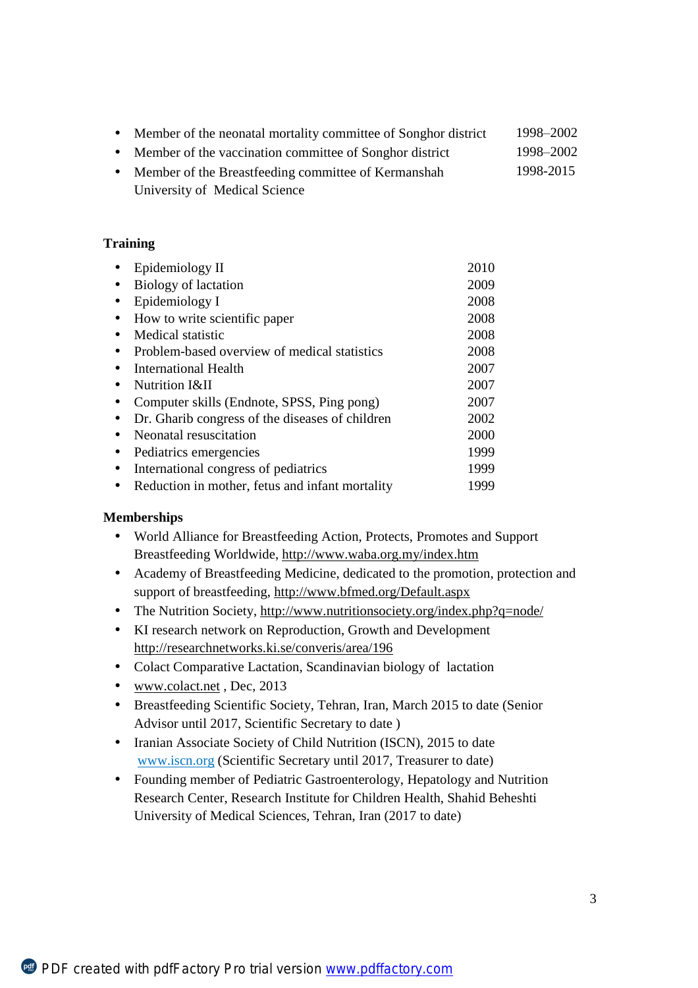| Member of the neonatal mortality committee of Songhor district | 1998–2002 |
|----------------------------------------------------------------|-----------|
| Member of the vaccination committee of Songhor district        | 1998–2002 |
| Member of the Breastfeeding committee of Kermanshah            | 1998-2015 |
| University of Medical Science                                  |           |

#### **Training**

| ٠              | Epidemiology II                                 | 2010 |
|----------------|-------------------------------------------------|------|
| ٠              | Biology of lactation                            | 2009 |
| ٠              | Epidemiology I                                  | 2008 |
| $\blacksquare$ | How to write scientific paper                   | 2008 |
| ٠              | Medical statistic                               | 2008 |
|                | Problem-based overview of medical statistics    | 2008 |
| ٠              | International Health                            | 2007 |
| ٠              | Nutrition I&II                                  | 2007 |
|                | Computer skills (Endnote, SPSS, Ping pong)      | 2007 |
| ٠              | Dr. Gharib congress of the diseases of children | 2002 |
| ٠              | Neonatal resuscitation                          | 2000 |
| ٠              | Pediatrics emergencies                          | 1999 |
| ٠              | International congress of pediatrics            | 1999 |
| ٠              | Reduction in mother, fetus and infant mortality | 1999 |

### **Memberships**

- World Alliance for Breastfeeding Action, Protects, Promotes and Support  $\mathbf{r}^{\prime}$ Breastfeeding Worldwide,<http://www.waba.org.my/index.htm>
- Academy of Breastfeeding Medicine, dedicated to the promotion, protection and  $\mathbf{r}^{\prime}$ support of breastfeeding, <http://www.bfmed.org/Default.aspx>
- The Nutrition Society, <http://www.nutritionsociety.org/index.php?q=node/>  $\mathcal{L}^{\mathcal{L}}$
- $\mathbf{r}^{\prime}$ KI research network on Reproduction, Growth and Development <http://researchnetworks.ki.se/converis/area/196>
- Colact Comparative Lactation, Scandinavian biology of lactation  $\mathbf{r}$
- [www.colact.net](http://www.colact.net) , Dec, 2013  $\sim$
- Breastfeeding Scientific Society, Tehran, Iran, March 2015 to date (Senior  $\mathbf{r}$ Advisor until 2017, Scientific Secretary to date )
- Iranian Associate Society of Child Nutrition (ISCN), 2015 to date  $\mathbf{r}$ [www.iscn.org](http://www.iscn.org) (Scientific Secretary until 2017, Treasurer to date)
- $\mathcal{L}^{\pm}$ Founding member of Pediatric Gastroenterology, Hepatology and Nutrition Research Center, Research Institute for Children Health, Shahid Beheshti University of Medical Sciences, Tehran, Iran (2017 to date)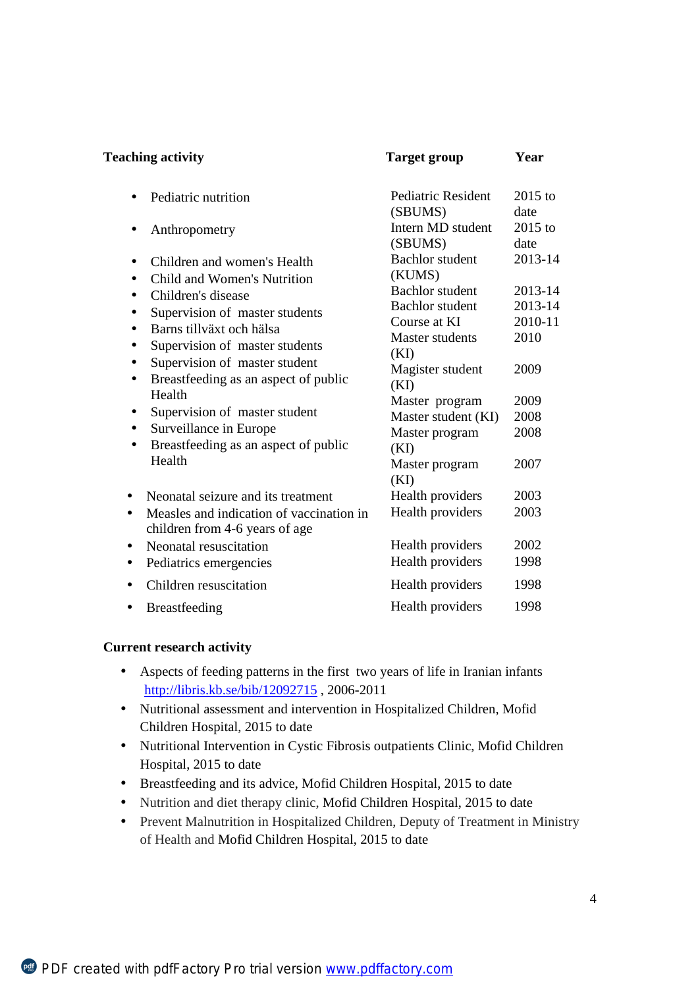| <b>Teaching activity</b>                                                                                                                                                                                                                                                                                                                                                                                       | <b>Target group</b>                                                                                                                                                                                                                   | Year                                                                             |
|----------------------------------------------------------------------------------------------------------------------------------------------------------------------------------------------------------------------------------------------------------------------------------------------------------------------------------------------------------------------------------------------------------------|---------------------------------------------------------------------------------------------------------------------------------------------------------------------------------------------------------------------------------------|----------------------------------------------------------------------------------|
| Pediatric nutrition<br>ä,                                                                                                                                                                                                                                                                                                                                                                                      | <b>Pediatric Resident</b><br>(SBUMS)                                                                                                                                                                                                  | $2015$ to<br>date                                                                |
| Anthropometry<br>٠                                                                                                                                                                                                                                                                                                                                                                                             | Intern MD student<br>(SBUMS)                                                                                                                                                                                                          | $2015$ to<br>date                                                                |
| Children and women's Health<br>٠<br>Child and Women's Nutrition<br>Children's disease<br>٠<br>Supervision of master students<br>Barns tillväxt och hälsa<br>Supervision of master students<br>٠<br>Supervision of master student<br>٠<br>Breastfeeding as an aspect of public<br>٠<br>Health<br>Supervision of master student<br>٠<br>Surveillance in Europe<br>٠<br>Breastfeeding as an aspect of public<br>٠ | <b>Bachlor</b> student<br>(KUMS)<br><b>Bachlor</b> student<br><b>Bachlor</b> student<br>Course at KI<br><b>Master students</b><br>(KI)<br>Magister student<br>(KI)<br>Master program<br>Master student (KI)<br>Master program<br>(KI) | 2013-14<br>2013-14<br>2013-14<br>2010-11<br>2010<br>2009<br>2009<br>2008<br>2008 |
| Health                                                                                                                                                                                                                                                                                                                                                                                                         | Master program<br>(KI)                                                                                                                                                                                                                | 2007                                                                             |
| Neonatal seizure and its treatment<br>٠<br>Measles and indication of vaccination in<br>٠<br>children from 4-6 years of age                                                                                                                                                                                                                                                                                     | Health providers<br>Health providers                                                                                                                                                                                                  | 2003<br>2003                                                                     |
| Neonatal resuscitation<br>$\blacksquare$<br>Pediatrics emergencies<br>٠                                                                                                                                                                                                                                                                                                                                        | Health providers<br>Health providers                                                                                                                                                                                                  | 2002<br>1998                                                                     |
| Children resuscitation                                                                                                                                                                                                                                                                                                                                                                                         | Health providers                                                                                                                                                                                                                      | 1998                                                                             |
| <b>Breastfeeding</b><br>٠                                                                                                                                                                                                                                                                                                                                                                                      | Health providers                                                                                                                                                                                                                      | 1998                                                                             |

### **Current research activity**

- Aspects of feeding patterns in the first two years of life in Iranian infants  $\mathbf{r}$ <http://libris.kb.se/bib/12092715> , 2006-2011
- Nutritional assessment and intervention in Hospitalized Children, Mofid Children Hospital, 2015 to date
- Nutritional Intervention in Cystic Fibrosis outpatients Clinic, Mofid Children  $\mathbf{r}$  . Hospital, 2015 to date
- Breastfeeding and its advice, Mofid Children Hospital, 2015 to date  $\mathbf{r}$  .
- Nutrition and diet therapy clinic, Mofid Children Hospital, 2015 to date  $\mathbf{r}$
- Prevent Malnutrition in Hospitalized Children, Deputy of Treatment in Ministry  $\mathbf{r}^{(1)}$ of Health and Mofid Children Hospital, 2015 to date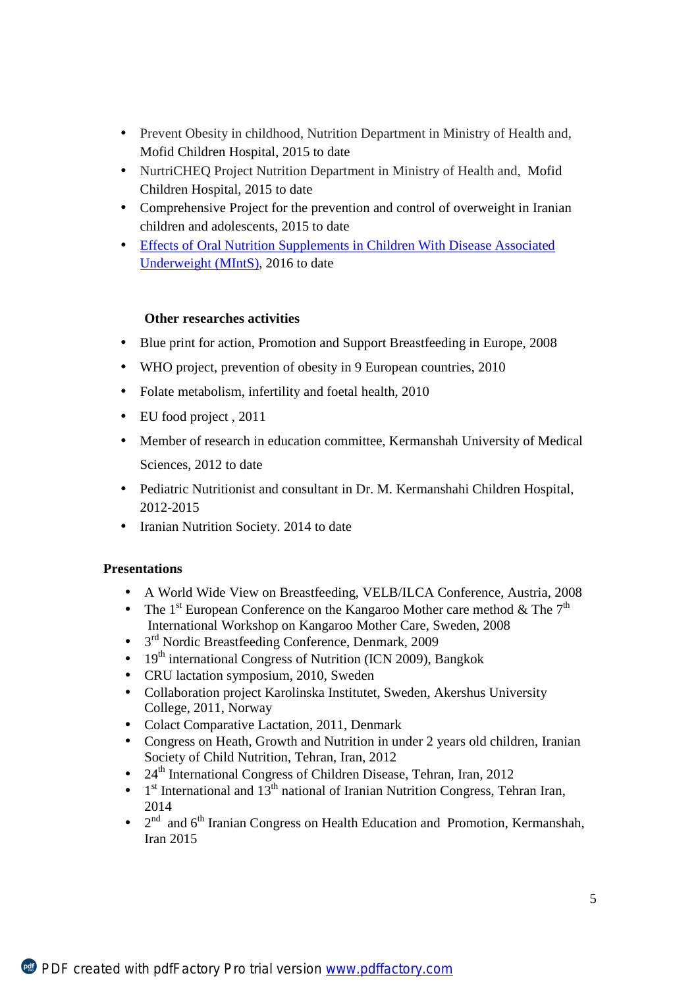- Prevent Obesity in childhood, Nutrition Department in Ministry of Health and,  $\mathbf{r}$ Mofid Children Hospital, 2015 to date
- NurtriCHEQ Project Nutrition Department in Ministry of Health and, Mofid Children Hospital, 2015 to date
- Comprehensive Project for the prevention and control of overweight in Iranian children and adolescents, 2015 to date
- Effects of Oral Nutrition Supplements in Children With Disease Associated Underweight (MIntS), 2016 to date

### **Other researches activities**

- Blue print for action, Promotion and Support Breastfeeding in Europe, 2008
- WHO project, prevention of obesity in 9 European countries, 2010
- Folate metabolism, infertility and foetal health, 2010
- EU food project , 2011
- Member of research in education committee, Kermanshah University of Medical Sciences, 2012 to date
- Pediatric Nutritionist and consultant in Dr. M. Kermanshahi Children Hospital, 2012-2015
- Iranian Nutrition Society. 2014 to date

### **Presentations**

- A World Wide View on Breastfeeding, VELB/ILCA Conference, Austria, 2008
- The 1<sup>st</sup> European Conference on the Kangaroo Mother care method  $\&$  The 7<sup>th</sup> International Workshop on Kangaroo Mother Care, Sweden, 2008
- 3<sup>rd</sup> Nordic Breastfeeding Conference, Denmark, 2009 ä,
- 19<sup>th</sup> international Congress of Nutrition (ICN 2009), Bangkok
- CRU lactation symposium, 2010, Sweden
- Collaboration project Karolinska Institutet, Sweden, Akershus University College, 2011, Norway
- Colact Comparative Lactation, 2011, Denmark
- Congress on Heath, Growth and Nutrition in under 2 years old children, Iranian Society of Child Nutrition, Tehran, Iran, 2012
- 24<sup>th</sup> International Congress of Children Disease, Tehran, Iran, 2012
- 1<sup>st</sup> International and 13<sup>th</sup> national of Iranian Nutrition Congress, Tehran Iran, 2014
- $2<sup>nd</sup>$  and  $6<sup>th</sup>$  Iranian Congress on Health Education and Promotion, Kermanshah, Iran 2015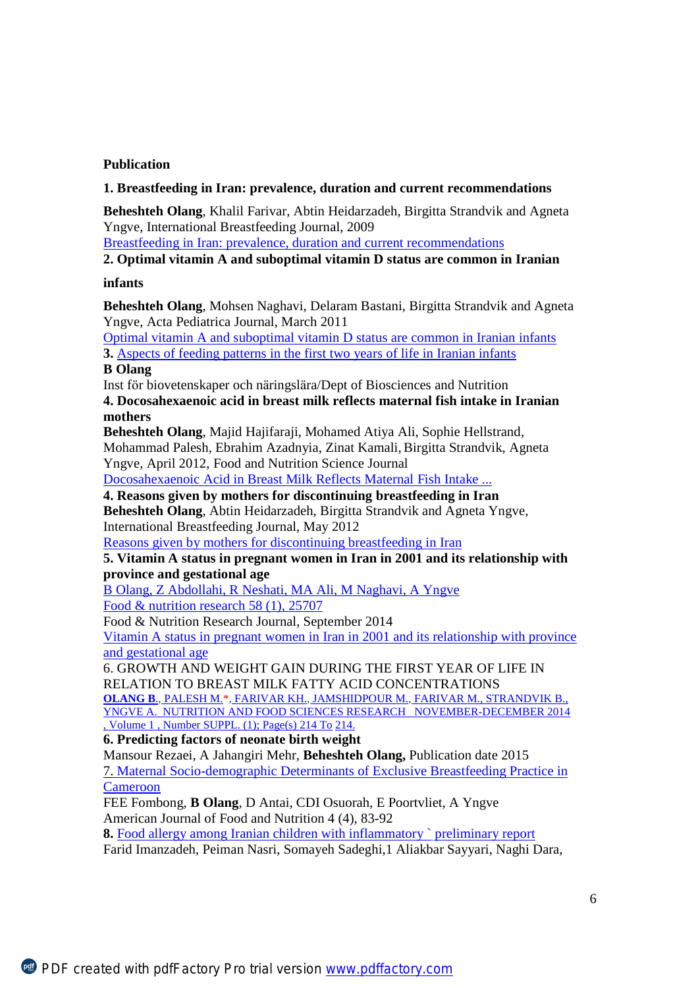### **Publication**

#### **1. Breastfeeding in Iran: prevalence, duration and current recommendations**

**Beheshteh Olang**, Khalil Farivar, Abtin Heidarzadeh, Birgitta Strandvik and Agneta Yngve, International Breastfeeding Journal, 2009

Breastfeeding in Iran: prevalence, duration and current recommendations

**2. Optimal vitamin A and suboptimal vitamin D status are common in Iranian** 

#### **infants**

**Beheshteh Olang**, Mohsen Naghavi, Delaram Bastani, Birgitta Strandvik and Agneta Yngve, Acta Pediatrica Journal, March 2011

Optimal vitamin A and suboptimal vitamin D status are common in Iranian infants

**3.** Aspects of feeding patterns in the first two years of life in Iranian infants

#### **B Olang**

Inst för biovetenskaper och näringslära/Dept of Biosciences and Nutrition

**4. Docosahexaenoic acid in breast milk reflects maternal fish intake in Iranian mothers** 

**Beheshteh Olang**, Majid Hajifaraji, Mohamed Atiya Ali, Sophie Hellstrand, Mohammad Palesh, Ebrahim Azadnyia, Zinat Kamali,Birgitta Strandvik, Agneta Yngve, April 2012, Food and Nutrition Science Journal

Docosahexaenoic Acid in Breast Milk Reflects Maternal Fish Intake ...

**4. Reasons given by mothers for discontinuing breastfeeding in Iran** 

**Beheshteh Olang**, Abtin Heidarzadeh, Birgitta Strandvik and Agneta Yngve, International Breastfeeding Journal, May 2012

Reasons given by mothers for discontinuing breastfeeding in Iran

### **5. Vitamin A status in pregnant women in Iran in 2001 and its relationship with province and gestational age**

B Olang, Z Abdollahi, R Neshati, MA Ali, M Naghavi, A Yngve Food & nutrition research 58 (1), 25707

Food & Nutrition Research Journal, September 2014

Vitamin A status in pregnant women in Iran in 2001 and its relationship with province and gestational age

6. GROWTH AND WEIGHT GAIN DURING THE FIRST YEAR OF LIFE IN RELATION TO BREAST MILK FATTY ACID CONCENTRATIONS **OLANG B**., PALESH M.\*, FARIVAR KH., JAMSHIDPOUR M., FARIVAR M., STRANDVIK B.,

YNGVE A. NUTRITION AND FOOD SCIENCES RESEARCH NOVEMBER-DECEMBER 2014 , Volume 1 , Number SUPPL. (1); Page(s) 214 To 214.

**6. Predicting factors of neonate birth weight** 

Mansour Rezaei, A Jahangiri Mehr, **Beheshteh Olang,** Publication date 2015 7. Maternal Socio-demographic Determinants of Exclusive Breastfeeding Practice in Cameroon

FEE Fombong, **B Olang**, D Antai, CDI Osuorah, E Poortvliet, A Yngve American Journal of Food and Nutrition 4 (4), 83-92

**8.** Food allergy among Iranian children with inflammatory ` preliminary report

Farid Imanzadeh, Peiman Nasri, Somayeh Sadeghi,1 Aliakbar Sayyari, Naghi Dara,